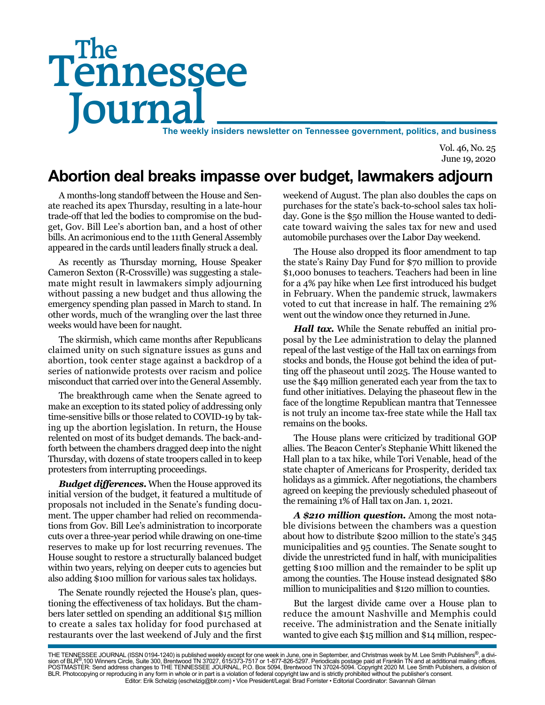# Tennessee **Journal** The weekly insiders newsletter on Tennessee government, politics, and business The

Vol. 46, No. 25 June 19, 2020

# **Abortion deal breaks impasse over budget, lawmakers adjourn**

A months-long standoff between the House and Senate reached its apex Thursday, resulting in a late-hour trade-off that led the bodies to compromise on the budget, Gov. Bill Lee's abortion ban, and a host of other bills. An acrimonious end to the 111th General Assembly appeared in the cards until leaders finally struck a deal.

As recently as Thursday morning, House Speaker Cameron Sexton (R-Crossville) was suggesting a stalemate might result in lawmakers simply adjourning without passing a new budget and thus allowing the emergency spending plan passed in March to stand. In other words, much of the wrangling over the last three weeks would have been for naught.

The skirmish, which came months after Republicans claimed unity on such signature issues as guns and abortion, took center stage against a backdrop of a series of nationwide protests over racism and police misconduct that carried over into the General Assembly.

The breakthrough came when the Senate agreed to make an exception to its stated policy of addressing only time-sensitive bills or those related to COVID-19 by taking up the abortion legislation. In return, the House relented on most of its budget demands. The back-andforth between the chambers dragged deep into the night Thursday, with dozens of state troopers called in to keep protesters from interrupting proceedings.

*Budget differences***.** When the House approved its initial version of the budget, it featured a multitude of proposals not included in the Senate's funding document. The upper chamber had relied on recommendations from Gov. Bill Lee's administration to incorporate cuts over a three-year period while drawing on one-time reserves to make up for lost recurring revenues. The House sought to restore a structurally balanced budget within two years, relying on deeper cuts to agencies but also adding \$100 million for various sales tax holidays.

The Senate roundly rejected the House's plan, questioning the effectiveness of tax holidays. But the chambers later settled on spending an additional \$15 million to create a sales tax holiday for food purchased at restaurants over the last weekend of July and the first

weekend of August. The plan also doubles the caps on purchases for the state's back-to-school sales tax holiday. Gone is the \$50 million the House wanted to dedicate toward waiving the sales tax for new and used automobile purchases over the Labor Day weekend.

The House also dropped its floor amendment to tap the state's Rainy Day Fund for \$70 million to provide \$1,000 bonuses to teachers. Teachers had been in line for a 4% pay hike when Lee first introduced his budget in February. When the pandemic struck, lawmakers voted to cut that increase in half. The remaining 2% went out the window once they returned in June.

*Hall tax.* While the Senate rebuffed an initial proposal by the Lee administration to delay the planned repeal of the last vestige of the Hall tax on earnings from stocks and bonds, the House got behind the idea of putting off the phaseout until 2025. The House wanted to use the \$49 million generated each year from the tax to fund other initiatives. Delaying the phaseout flew in the face of the longtime Republican mantra that Tennessee is not truly an income tax-free state while the Hall tax remains on the books.

The House plans were criticized by traditional GOP allies. The Beacon Center's Stephanie Whitt likened the Hall plan to a tax hike, while Tori Venable, head of the state chapter of Americans for Prosperity, derided tax holidays as a gimmick. After negotiations, the chambers agreed on keeping the previously scheduled phaseout of the remaining 1% of Hall tax on Jan. 1, 2021.

*A \$210 million question.* Among the most notable divisions between the chambers was a question about how to distribute \$200 million to the state's 345 municipalities and 95 counties. The Senate sought to divide the unrestricted fund in half, with municipalities getting \$100 million and the remainder to be split up among the counties. The House instead designated \$80 million to municipalities and \$120 million to counties.

But the largest divide came over a House plan to reduce the amount Nashville and Memphis could receive. The administration and the Senate initially wanted to give each \$15 million and \$14 million, respec-

THE TENNESSEE JOURNAL (ISSN 0194-1240) is published weekly except for one week in June, one in September, and Christmas week by M. Lee Smith Publishers®, a divi-<br>sion of BLR®,100 Winners Circle, Suite 300, Brentwood TN 370 BLR. Photocopying or reproducing in any form in whole or in part is a violation of federal copyright law and is strictly prohibited without the publisher's consent. Editor: Erik Schelzig (eschelzig@blr.com) • Vice President/Legal: Brad Forrister • Editorial Coordinator: Savannah Gilman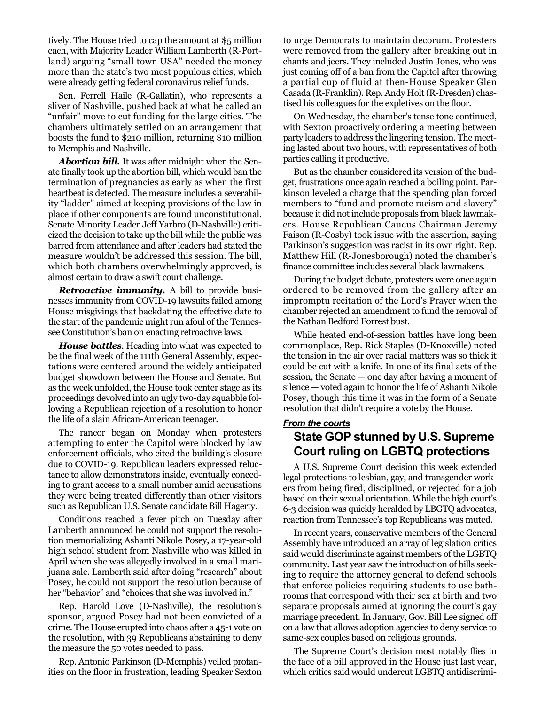tively. The House tried to cap the amount at \$5 million each, with Majority Leader William Lamberth (R-Portland) arguing "small town USA" needed the money more than the state's two most populous cities, which were already getting federal coronavirus relief funds.

Sen. Ferrell Haile (R-Gallatin), who represents a sliver of Nashville, pushed back at what he called an "unfair" move to cut funding for the large cities. The chambers ultimately settled on an arrangement that boosts the fund to \$210 million, returning \$10 million to Memphis and Nashville.

*Abortion bill.* It was after midnight when the Senate finally took up the abortion bill, which would ban the termination of pregnancies as early as when the first heartbeat is detected. The measure includes a severability "ladder" aimed at keeping provisions of the law in place if other components are found unconstitutional. Senate Minority Leader Jeff Yarbro (D-Nashville) criticized the decision to take up the bill while the public was barred from attendance and after leaders had stated the measure wouldn't be addressed this session. The bill, which both chambers overwhelmingly approved, is almost certain to draw a swift court challenge.

*Retroactive immunity.* A bill to provide businesses immunity from COVID-19 lawsuits failed among House misgivings that backdating the effective date to the start of the pandemic might run afoul of the Tennessee Constitution's ban on enacting retroactive laws.

*House battles.* Heading into what was expected to be the final week of the 111th General Assembly, expectations were centered around the widely anticipated budget showdown between the House and Senate. But as the week unfolded, the House took center stage as its proceedings devolved into an ugly two-day squabble following a Republican rejection of a resolution to honor the life of a slain African-American teenager.

The rancor began on Monday when protesters attempting to enter the Capitol were blocked by law enforcement officials, who cited the building's closure due to COVID-19. Republican leaders expressed reluctance to allow demonstrators inside, eventually conceding to grant access to a small number amid accusations they were being treated differently than other visitors such as Republican U.S. Senate candidate Bill Hagerty.

Conditions reached a fever pitch on Tuesday after Lamberth announced he could not support the resolution memorializing Ashanti Nikole Posey, a 17-year-old high school student from Nashville who was killed in April when she was allegedly involved in a small marijuana sale. Lamberth said after doing "research" about Posey, he could not support the resolution because of her "behavior" and "choices that she was involved in."

Rep. Harold Love (D-Nashville), the resolution's sponsor, argued Posey had not been convicted of a crime. The House erupted into chaos after a 45-1 vote on the resolution, with 39 Republicans abstaining to deny the measure the 50 votes needed to pass.

Rep. Antonio Parkinson (D-Memphis) yelled profanities on the floor in frustration, leading Speaker Sexton

to urge Democrats to maintain decorum. Protesters were removed from the gallery after breaking out in chants and jeers. They included Justin Jones, who was just coming off of a ban from the Capitol after throwing a partial cup of fluid at then-House Speaker Glen Casada (R-Franklin). Rep. Andy Holt (R-Dresden) chastised his colleagues for the expletives on the floor.

On Wednesday, the chamber's tense tone continued, with Sexton proactively ordering a meeting between party leaders to address the lingering tension. The meeting lasted about two hours, with representatives of both parties calling it productive.

But as the chamber considered its version of the budget, frustrations once again reached a boiling point. Parkinson leveled a charge that the spending plan forced members to "fund and promote racism and slavery" because it did not include proposals from black lawmakers. House Republican Caucus Chairman Jeremy Faison (R-Cosby) took issue with the assertion, saying Parkinson's suggestion was racist in its own right. Rep. Matthew Hill (R-Jonesborough) noted the chamber's finance committee includes several black lawmakers.

During the budget debate, protesters were once again ordered to be removed from the gallery after an impromptu recitation of the Lord's Prayer when the chamber rejected an amendment to fund the removal of the Nathan Bedford Forrest bust.

While heated end-of-session battles have long been commonplace, Rep. Rick Staples (D-Knoxville) noted the tension in the air over racial matters was so thick it could be cut with a knife. In one of its final acts of the session, the Senate — one day after having a moment of silence — voted again to honor the life of Ashanti Nikole Posey, though this time it was in the form of a Senate resolution that didn't require a vote by the House.

#### *From the courts* **State GOP stunned by U.S. Supreme Court ruling on LGBTQ protections**

A U.S. Supreme Court decision this week extended legal protections to lesbian, gay, and transgender workers from being fired, disciplined, or rejected for a job based on their sexual orientation. While the high court's 6-3 decision was quickly heralded by LBGTQ advocates, reaction from Tennessee's top Republicans was muted.

In recent years, conservative members of the General Assembly have introduced an array of legislation critics said would discriminate against members of the LGBTQ community. Last year saw the introduction of bills seeking to require the attorney general to defend schools that enforce policies requiring students to use bathrooms that correspond with their sex at birth and two separate proposals aimed at ignoring the court's gay marriage precedent. In January, Gov. Bill Lee signed off on a law that allows adoption agencies to deny service to same-sex couples based on religious grounds.

The Supreme Court's decision most notably flies in the face of a bill approved in the House just last year, which critics said would undercut LGBTO antidiscrimi-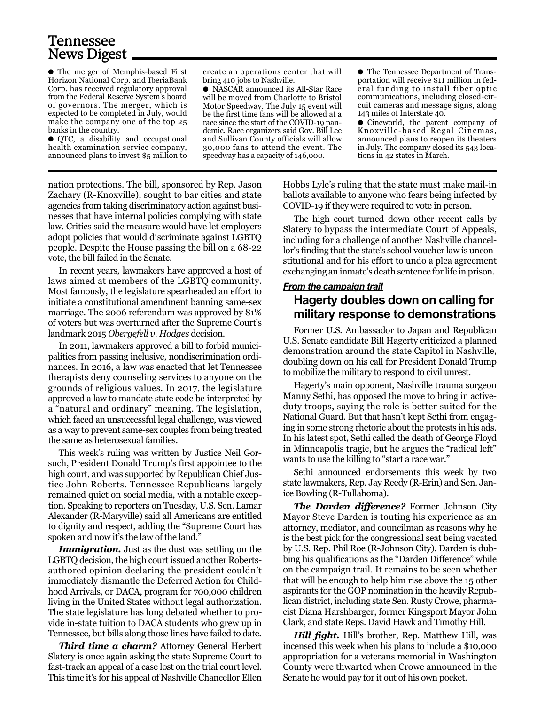## Tennessee News Digest

● The merger of Memphis-based First Horizon National Corp. and IberiaBank Corp. has received regulatory approval from the Federal Reserve System's board of governors. The merger, which is expected to be completed in July, would make the company one of the top 25 banks in the country.

● QTC, a disability and occupational health examination service company, announced plans to invest \$5 million to

create an operations center that will bring 410 jobs to Nashville.

● NASCAR announced its All-Star Race will be moved from Charlotte to Bristol Motor Speedway. The July 15 event will be the first time fans will be allowed at a race since the start of the COVID-19 pandemic. Race organizers said Gov. Bill Lee and Sullivan County officials will allow 30,000 fans to attend the event. The speedway has a capacity of 146,000.

● The Tennessee Department of Transportation will receive \$11 million in federal funding to install fiber optic communications, including closed-circuit cameras and message signs, along 143 miles of Interstate 40.

● Cineworld, the parent company of Knoxville-based Regal Cinemas, announced plans to reopen its theaters in July. The company closed its 543 locations in 42 states in March.

nation protections. The bill, sponsored by Rep. Jason Zachary (R-Knoxville), sought to bar cities and state agencies from taking discriminatory action against businesses that have internal policies complying with state law. Critics said the measure would have let employers adopt policies that would discriminate against LGBTQ people. Despite the House passing the bill on a 68-22 vote, the bill failed in the Senate.

In recent years, lawmakers have approved a host of laws aimed at members of the LGBTQ community. Most famously, the legislature spearheaded an effort to initiate a constitutional amendment banning same-sex marriage. The 2006 referendum was approved by 81% of voters but was overturned after the Supreme Court's landmark 2015 *Obergefell v. Hodges* decision.

In 2011, lawmakers approved a bill to forbid municipalities from passing inclusive, nondiscrimination ordinances. In 2016, a law was enacted that let Tennessee therapists deny counseling services to anyone on the grounds of religious values. In 2017, the legislature approved a law to mandate state code be interpreted by a "natural and ordinary" meaning. The legislation, which faced an unsuccessful legal challenge, was viewed as a way to prevent same-sex couples from being treated the same as heterosexual families.

This week's ruling was written by Justice Neil Gorsuch, President Donald Trump's first appointee to the high court, and was supported by Republican Chief Justice John Roberts. Tennessee Republicans largely remained quiet on social media, with a notable exception. Speaking to reporters on Tuesday, U.S. Sen. Lamar Alexander (R-Maryville) said all Americans are entitled to dignity and respect, adding the "Supreme Court has spoken and now it's the law of the land."

*Immigration.* Just as the dust was settling on the LGBTQ decision, the high court issued another Robertsauthored opinion declaring the president couldn't immediately dismantle the Deferred Action for Childhood Arrivals, or DACA, program for 700,000 children living in the United States without legal authorization. The state legislature has long debated whether to provide in-state tuition to DACA students who grew up in Tennessee, but bills along those lines have failed to date.

*Third time a charm?* Attorney General Herbert Slatery is once again asking the state Supreme Court to fast-track an appeal of a case lost on the trial court level. This time it's for his appeal of Nashville Chancellor Ellen

Hobbs Lyle's ruling that the state must make mail-in ballots available to anyone who fears being infected by COVID-19 if they were required to vote in person.

The high court turned down other recent calls by Slatery to bypass the intermediate Court of Appeals, including for a challenge of another Nashville chancellor's finding that the state's school voucher law is unconstitutional and for his effort to undo a plea agreement exchanging an inmate's death sentence for life in prison.

#### *From the campaign trail*

#### **Hagerty doubles down on calling for military response to demonstrations**

Former U.S. Ambassador to Japan and Republican U.S. Senate candidate Bill Hagerty criticized a planned demonstration around the state Capitol in Nashville, doubling down on his call for President Donald Trump to mobilize the military to respond to civil unrest.

Hagerty's main opponent, Nashville trauma surgeon Manny Sethi, has opposed the move to bring in activeduty troops, saying the role is better suited for the National Guard. But that hasn't kept Sethi from engaging in some strong rhetoric about the protests in his ads. In his latest spot, Sethi called the death of George Floyd in Minneapolis tragic, but he argues the "radical left" wants to use the killing to "start a race war."

Sethi announced endorsements this week by two state lawmakers, Rep. Jay Reedy (R-Erin) and Sen. Janice Bowling (R-Tullahoma).

*The Darden difference?* Former Johnson City Mayor Steve Darden is touting his experience as an attorney, mediator, and councilman as reasons why he is the best pick for the congressional seat being vacated by U.S. Rep. Phil Roe (R-Johnson City). Darden is dubbing his qualifications as the "Darden Difference" while on the campaign trail. It remains to be seen whether that will be enough to help him rise above the 15 other aspirants for the GOP nomination in the heavily Republican district, including state Sen. Rusty Crowe, pharmacist Diana Harshbarger, former Kingsport Mayor John Clark, and state Reps. David Hawk and Timothy Hill.

*Hill fight.* Hill's brother, Rep. Matthew Hill, was incensed this week when his plans to include a \$10,000 appropriation for a veterans memorial in Washington County were thwarted when Crowe announced in the Senate he would pay for it out of his own pocket.